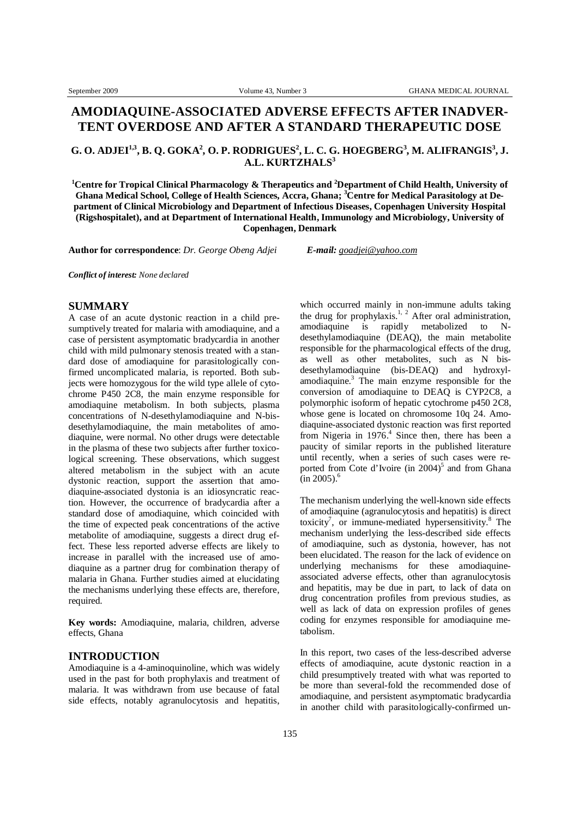# **AMODIAQUINE-ASSOCIATED ADVERSE EFFECTS AFTER INADVER-TENT OVERDOSE AND AFTER A STANDARD THERAPEUTIC DOSE**

# G. O. ADJEI<sup>1,3</sup>, B. Q. GOKA<sup>2</sup>, O. P. RODRIGUES<sup>2</sup>, L. C. G. HOEGBERG<sup>3</sup>, M. ALIFRANGIS<sup>3</sup>, J. **A.L. KURTZHALS<sup>3</sup>**

**<sup>1</sup>Centre for Tropical Clinical Pharmacology & Therapeutics and <sup>2</sup>Department of Child Health, University of Ghana Medical School, College of Health Sciences, Accra, Ghana; <sup>3</sup>Centre for Medical Parasitology at Department of Clinical Microbiology and Department of Infectious Diseases, Copenhagen University Hospital (Rigshospitalet), and at Department of International Health, Immunology and Microbiology, University of Copenhagen, Denmark** 

**Author for correspondence**: *Dr. George Obeng Adjei E-mail: [goadjei@yahoo.com](mailto:goadjei@yahoo.com)*

*Conflict of interest: None declared*

# **SUMMARY**

A case of an acute dystonic reaction in a child presumptively treated for malaria with amodiaquine, and a case of persistent asymptomatic bradycardia in another child with mild pulmonary stenosis treated with a standard dose of amodiaquine for parasitologically confirmed uncomplicated malaria, is reported. Both subjects were homozygous for the wild type allele of cytochrome P450 2C8, the main enzyme responsible for amodiaquine metabolism. In both subjects, plasma concentrations of N-desethylamodiaquine and N-bisdesethylamodiaquine, the main metabolites of amodiaquine, were normal. No other drugs were detectable in the plasma of these two subjects after further toxicological screening. These observations, which suggest altered metabolism in the subject with an acute dystonic reaction, support the assertion that amodiaquine-associated dystonia is an idiosyncratic reaction. However, the occurrence of bradycardia after a standard dose of amodiaquine, which coincided with the time of expected peak concentrations of the active metabolite of amodiaquine, suggests a direct drug effect. These less reported adverse effects are likely to increase in parallel with the increased use of amodiaquine as a partner drug for combination therapy of malaria in Ghana. Further studies aimed at elucidating the mechanisms underlying these effects are, therefore, required.

**Key words:** Amodiaquine, malaria, children, adverse effects, Ghana

### **INTRODUCTION**

Amodiaquine is a 4-aminoquinoline, which was widely used in the past for both prophylaxis and treatment of malaria. It was withdrawn from use because of fatal side effects, notably agranulocytosis and hepatitis, which occurred mainly in non-immune adults taking the drug for prophylaxis.<sup>1, 2</sup> After oral administration, amodiaquine is rapidly metabolized to Ndesethylamodiaquine (DEAQ), the main metabolite responsible for the pharmacological effects of the drug, as well as other metabolites, such as N bisdesethylamodiaquine (bis-DEAQ) and hydroxylamodiaquine.<sup>3</sup> The main enzyme responsible for the conversion of amodiaquine to DEAQ is CYP2C8, a polymorphic isoform of hepatic cytochrome p450 2C8, whose gene is located on chromosome 10q 24. Amodiaquine-associated dystonic reaction was first reported from Nigeria in 1976.<sup>4</sup> Since then, there has been a paucity of similar reports in the published literature until recently, when a series of such cases were reported from Cote d'Ivoire (in  $2004$ )<sup>5</sup> and from Ghana  $\mathrm{(in\,2005)}$ .<sup>6</sup>

The mechanism underlying the well-known side effects of amodiaquine (agranulocytosis and hepatitis) is direct toxicity<sup>7</sup>, or immune-mediated hypersensitivity.<sup>8</sup> The mechanism underlying the less-described side effects of amodiaquine, such as dystonia, however, has not been elucidated. The reason for the lack of evidence on underlying mechanisms for these amodiaquineassociated adverse effects, other than agranulocytosis and hepatitis, may be due in part, to lack of data on drug concentration profiles from previous studies, as well as lack of data on expression profiles of genes coding for enzymes responsible for amodiaquine metabolism.

In this report, two cases of the less-described adverse effects of amodiaquine, acute dystonic reaction in a child presumptively treated with what was reported to be more than several-fold the recommended dose of amodiaquine, and persistent asymptomatic bradycardia in another child with parasitologically-confirmed un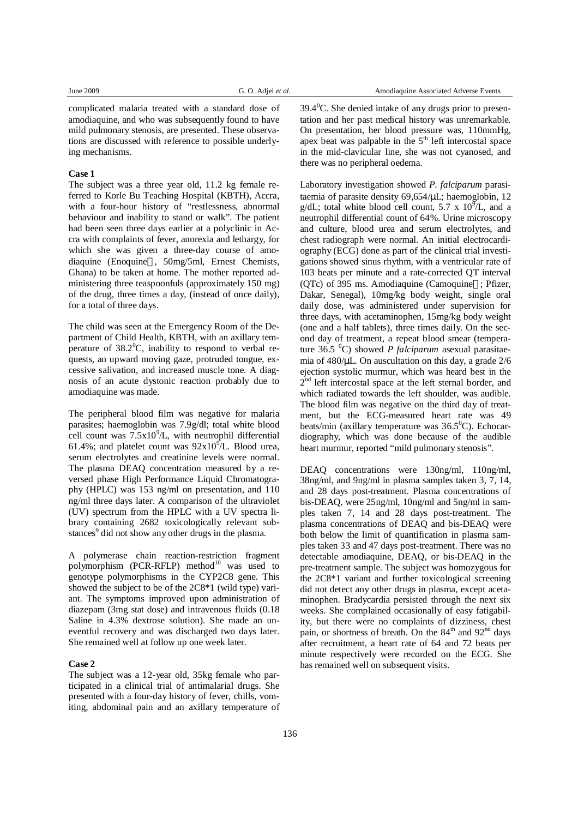complicated malaria treated with a standard dose of amodiaquine, and who was subsequently found to have mild pulmonary stenosis, are presented. These observations are discussed with reference to possible underlying mechanisms.

#### **Case 1**

The subject was a three year old, 11.2 kg female referred to Korle Bu Teaching Hospital (KBTH), Accra, with a four-hour history of "restlessness, abnormal behaviour and inability to stand or walk". The patient had been seen three days earlier at a polyclinic in Accra with complaints of fever, anorexia and lethargy, for which she was given a three-day course of amodiaquine (Enoquine®, 50mg/5ml, Ernest Chemists, Ghana) to be taken at home. The mother reported administering three teaspoonfuls (approximately 150 mg) of the drug, three times a day, (instead of once daily), for a total of three days.

The child was seen at the Emergency Room of the Department of Child Health, KBTH, with an axillary temperature of  $38.2^{\circ}$ C, inability to respond to verbal requests, an upward moving gaze, protruded tongue, excessive salivation, and increased muscle tone. A diagnosis of an acute dystonic reaction probably due to amodiaquine was made.

The peripheral blood film was negative for malaria parasites; haemoglobin was 7.9g/dl; total white blood cell count was  $7.5x10^{9}/L$ , with neutrophil differential 61.4%; and platelet count was  $92x10^{9}$ L. Blood urea, serum electrolytes and creatinine levels were normal. The plasma DEAQ concentration measured by a reversed phase High Performance Liquid Chromatography (HPLC) was 153 ng/ml on presentation, and 110 ng/ml three days later. A comparison of the ultraviolet (UV) spectrum from the HPLC with a UV spectra library containing 2682 toxicologically relevant substances<sup>9</sup> did not show any other drugs in the plasma.

A polymerase chain reaction-restriction fragment polymorphism (PCR-RFLP) method<sup>10</sup> was used to genotype polymorphisms in the CYP2C8 gene. This showed the subject to be of the 2C8\*1 (wild type) variant. The symptoms improved upon administration of diazepam (3mg stat dose) and intravenous fluids (0.18 Saline in 4.3% dextrose solution). She made an uneventful recovery and was discharged two days later. She remained well at follow up one week later.

#### **Case 2**

The subject was a 12-year old, 35kg female who participated in a clinical trial of antimalarial drugs. She presented with a four-day history of fever, chills, vomiting, abdominal pain and an axillary temperature of  $39.4^{\circ}$ C. She denied intake of any drugs prior to presentation and her past medical history was unremarkable. On presentation, her blood pressure was, 110mmHg, apex beat was palpable in the  $5<sup>th</sup>$  left intercostal space in the mid-clavicular line, she was not cyanosed, and there was no peripheral oedema.

Laboratory investigation showed *P. falciparum* parasitaemia of parasite density 69,654/μL; haemoglobin, 12 g/dL; total white blood cell count, 5.7 x  $10^5$ /L, and a neutrophil differential count of 64%. Urine microscopy and culture, blood urea and serum electrolytes, and chest radiograph were normal. An initial electrocardiography (ECG) done as part of the clinical trial investigations showed sinus rhythm, with a ventricular rate of 103 beats per minute and a rate-corrected QT interval  $(OTc)$  of 395 ms. Amodiaquine  $(Ca$ moquine $\mathcal{R}$ : Pfizer, Dakar, Senegal), 10mg/kg body weight, single oral daily dose, was administered under supervision for three days, with acetaminophen, 15mg/kg body weight (one and a half tablets), three times daily. On the second day of treatment, a repeat blood smear (temperature 36.5 <sup>0</sup>C) showed *P falciparum* asexual parasitaemia of 480/μL. On auscultation on this day, a grade 2/6 ejection systolic murmur, which was heard best in the 2<sup>nd</sup> left intercostal space at the left sternal border, and which radiated towards the left shoulder, was audible. The blood film was negative on the third day of treatment, but the ECG-measured heart rate was 49 beats/min (axillary temperature was  $36.5^{\circ}$ C). Echocardiography, which was done because of the audible heart murmur, reported "mild pulmonary stenosis".

DEAQ concentrations were 130ng/ml, 110ng/ml, 38ng/ml, and 9ng/ml in plasma samples taken 3, 7, 14, and 28 days post-treatment. Plasma concentrations of bis-DEAQ, were 25ng/ml, 10ng/ml and 5ng/ml in samples taken 7, 14 and 28 days post-treatment. The plasma concentrations of DEAQ and bis-DEAQ were both below the limit of quantification in plasma samples taken 33 and 47 days post-treatment. There was no detectable amodiaquine, DEAQ, or bis-DEAQ in the pre-treatment sample. The subject was homozygous for the 2C8\*1 variant and further toxicological screening did not detect any other drugs in plasma, except acetaminophen. Bradycardia persisted through the next six weeks. She complained occasionally of easy fatigability, but there were no complaints of dizziness, chest pain, or shortness of breath. On the 84<sup>th</sup> and 92<sup>nd</sup> days after recruitment, a heart rate of 64 and 72 beats per minute respectively were recorded on the ECG. She has remained well on subsequent visits.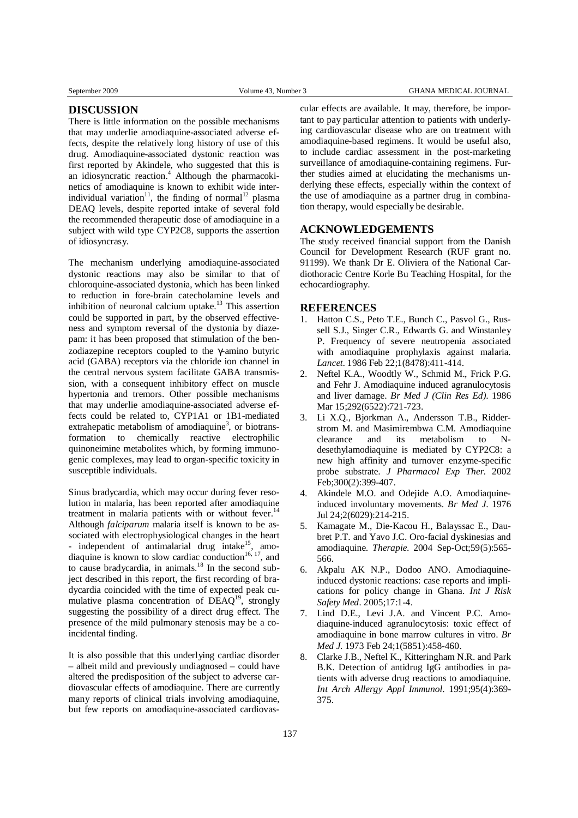# **DISCUSSION**

There is little information on the possible mechanisms that may underlie amodiaquine-associated adverse effects, despite the relatively long history of use of this drug. Amodiaquine-associated dystonic reaction was first reported by Akindele, who suggested that this is an idiosyncratic reaction.<sup>4</sup> Although the pharmacokinetics of amodiaquine is known to exhibit wide interindividual variation<sup>11</sup>, the finding of normal<sup>12</sup> plasma DEAQ levels, despite reported intake of several fold the recommended therapeutic dose of amodiaquine in a subject with wild type CYP2C8, supports the assertion of idiosyncrasy.

The mechanism underlying amodiaquine-associated dystonic reactions may also be similar to that of chloroquine-associated dystonia, which has been linked to reduction in fore-brain catecholamine levels and inhibition of neuronal calcium uptake.<sup>13</sup> This assertion could be supported in part, by the observed effectiveness and symptom reversal of the dystonia by diazepam: it has been proposed that stimulation of the benzodiazepine receptors coupled to the γ-amino butyric acid (GABA) receptors via the chloride ion channel in the central nervous system facilitate GABA transmission, with a consequent inhibitory effect on muscle hypertonia and tremors. Other possible mechanisms that may underlie amodiaquine-associated adverse effects could be related to, CYP1A1 or 1B1-mediated extrahepatic metabolism of amodiaquine<sup>3</sup>, or biotransformation to chemically reactive electrophilic quinoneimine metabolites which, by forming immunogenic complexes, may lead to organ-specific toxicity in susceptible individuals.

Sinus bradycardia, which may occur during fever resolution in malaria, has been reported after amodiaquine treatment in malaria patients with or without fever.<sup>14</sup> Although *falciparum* malaria itself is known to be associated with electrophysiological changes in the heart - independent of antimalarial drug intake<sup>15</sup> , amodiaquine is known to slow cardiac conduction<sup>16, 17</sup>, and to cause bradycardia, in animals.<sup>18</sup> In the second subject described in this report, the first recording of bradycardia coincided with the time of expected peak cumulative plasma concentration of DEAQ<sup>19</sup>, strongly suggesting the possibility of a direct drug effect. The presence of the mild pulmonary stenosis may be a coincidental finding.

It is also possible that this underlying cardiac disorder – albeit mild and previously undiagnosed – could have altered the predisposition of the subject to adverse cardiovascular effects of amodiaquine. There are currently many reports of clinical trials involving amodiaquine, but few reports on amodiaquine-associated cardiovascular effects are available. It may, therefore, be important to pay particular attention to patients with underlying cardiovascular disease who are on treatment with amodiaquine-based regimens. It would be useful also, to include cardiac assessment in the post-marketing surveillance of amodiaquine-containing regimens. Further studies aimed at elucidating the mechanisms underlying these effects, especially within the context of the use of amodiaquine as a partner drug in combination therapy, would especially be desirable.

# **ACKNOWLEDGEMENTS**

The study received financial support from the Danish Council for Development Research (RUF grant no. 91199). We thank Dr E. Oliviera of the National Cardiothoracic Centre Korle Bu Teaching Hospital, for the echocardiography.

### **REFERENCES**

- 1. Hatton C.S., Peto T.E., Bunch C., Pasvol G., Russell S.J., Singer C.R., Edwards G. and Winstanley P. Frequency of severe neutropenia associated with amodiaquine prophylaxis against malaria. *Lancet*. 1986 Feb 22;1(8478):411-414.
- 2. Neftel K.A., Woodtly W., Schmid M., Frick P.G. and Fehr J. Amodiaquine induced agranulocytosis and liver damage. *Br Med J (Clin Res Ed)*. 1986 Mar 15;292(6522):721-723.
- 3. Li X.Q., Bjorkman A., Andersson T.B., Ridderstrom M. and Masimirembwa C.M. Amodiaquine clearance and its metabolism to Ndesethylamodiaquine is mediated by CYP2C8: a new high affinity and turnover enzyme-specific probe substrate. *J Pharmacol Exp Ther.* 2002 Feb;300(2):399-407.
- Akindele M.O. and Odejide A.O. Amodiaquineinduced involuntary movements. *Br Med J*. 1976 Jul 24;2(6029):214-215.
- 5. Kamagate M., Die-Kacou H., Balayssac E., Daubret P.T. and Yavo J.C. Oro-facial dyskinesias and amodiaquine. *Therapie*. 2004 Sep-Oct;59(5):565- 566.
- 6. Akpalu AK N.P., Dodoo ANO. Amodiaquineinduced dystonic reactions: case reports and implications for policy change in Ghana. *Int J Risk Safety Med.* 2005;17:1-4.
- 7. Lind D.E., Levi J.A. and Vincent P.C. Amodiaquine-induced agranulocytosis: toxic effect of amodiaquine in bone marrow cultures in vitro. *Br Med J*. 1973 Feb 24;1(5851):458-460.
- 8. Clarke J.B., Neftel K., Kitteringham N.R. and Park B.K. Detection of antidrug IgG antibodies in patients with adverse drug reactions to amodiaquine. *Int Arch Allergy Appl Immunol*. 1991;95(4):369- 375.